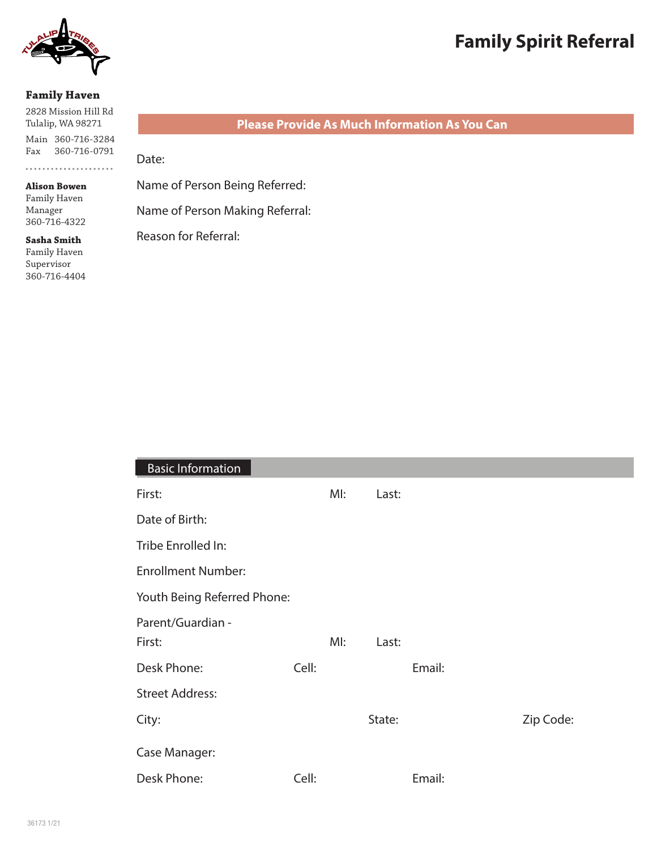

# **Family Spirit Referral**

#### **Family Haven**

2828 Mission Hill Rd Tulalip, WA 98271

Main 360-716-3284 Fax 360-716-0791 ....................

**Alison Bowen** Family Haven Manager

360-716-4322

**Sasha Smith** Family Haven Supervisor 360-716-4404

# **Please Provide As Much Information As You Can**

Date:

Name of Person Being Referred:

Name of Person Making Referral:

Reason for Referral:

| <b>Basic Information</b>    |       |     |        |        |           |
|-----------------------------|-------|-----|--------|--------|-----------|
| First:                      |       | MI: | Last:  |        |           |
| Date of Birth:              |       |     |        |        |           |
| Tribe Enrolled In:          |       |     |        |        |           |
| <b>Enrollment Number:</b>   |       |     |        |        |           |
| Youth Being Referred Phone: |       |     |        |        |           |
| Parent/Guardian -<br>First: |       | MI: | Last:  |        |           |
| Desk Phone:                 | Cell: |     |        | Email: |           |
| <b>Street Address:</b>      |       |     |        |        |           |
| City:                       |       |     | State: |        | Zip Code: |
| Case Manager:               |       |     |        |        |           |
| Desk Phone:                 | Cell: |     |        | Email: |           |